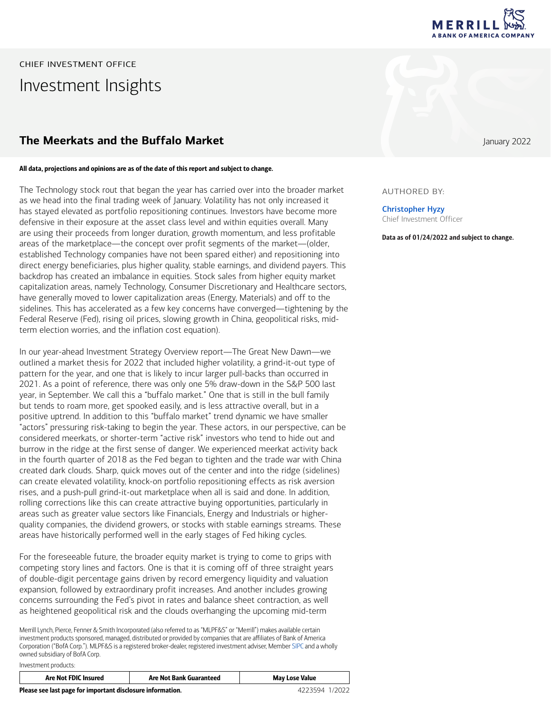

# CHIEF INVESTMENT OFFICE Investment Insights

### **The Meerkats and the Buffalo Market January 2022**

#### All data, projections and opinions are as of the date of this report and subject to change.

The Technology stock rout that began the year has carried over into the broader market as we head into the final trading week of January. Volatility has not only increased it has stayed elevated as portfolio repositioning continues. Investors have become more defensive in their exposure at the asset class level and within equities overall. Many are using their proceeds from longer duration, growth momentum, and less profitable areas of the marketplace—the concept over profit segments of the market—(older, established Technology companies have not been spared either) and repositioning into direct energy beneficiaries, plus higher quality, stable earnings, and dividend payers. This backdrop has created an imbalance in equities. Stock sales from higher equity market capitalization areas, namely Technology, Consumer Discretionary and Healthcare sectors, have generally moved to lower capitalization areas (Energy, Materials) and off to the sidelines. This has accelerated as a few key concerns have converged—tightening by the Federal Reserve (Fed), rising oil prices, slowing growth in China, geopolitical risks, midterm election worries, and the inflation cost equation).

In our year-ahead Investment Strategy Overview report—The Great New Dawn—we outlined a market thesis for 2022 that included higher volatility, a grind-it-out type of pattern for the year, and one that is likely to incur larger pull-backs than occurred in 2021. As a point of reference, there was only one 5% draw-down in the S&P 500 last year, in September. We call this a "buffalo market." One that is still in the bull family but tends to roam more, get spooked easily, and is less attractive overall, but in a positive uptrend. In addition to this "buffalo market" trend dynamic we have smaller "actors" pressuring risk-taking to begin the year. These actors, in our perspective, can be considered meerkats, or shorter-term "active risk" investors who tend to hide out and burrow in the ridge at the first sense of danger. We experienced meerkat activity back in the fourth quarter of 2018 as the Fed began to tighten and the trade war with China created dark clouds. Sharp, quick moves out of the center and into the ridge (sidelines) can create elevated volatility, knock-on portfolio repositioning effects as risk aversion rises, and a push-pull grind-it-out marketplace when all is said and done. In addition, rolling corrections like this can create attractive buying opportunities, particularly in areas such as greater value sectors like Financials, Energy and Industrials or higherquality companies, the dividend growers, or stocks with stable earnings streams. These areas have historically performed well in the early stages of Fed hiking cycles.

For the foreseeable future, the broader equity market is trying to come to grips with competing story lines and factors. One is that it is coming off of three straight years of double-digit percentage gains driven by record emergency liquidity and valuation expansion, followed by extraordinary profit increases. And another includes growing concerns surrounding the Fed's pivot in rates and balance sheet contraction, as well as heightened geopolitical risk and the clouds overhanging the upcoming mid-term

Merrill Lynch, Pierce, Fenner & Smith Incorporated (also referred to as "MLPF&S" or "Merrill") makes available certain investment products sponsored, managed, distributed or provided by companies that are affiliates of Bank of America Corporation ("BofA Corp."). MLPF&S is a registered broker-dealer, registered investment adviser, Member [SIPC](https://www.sipc.org/) and a wholly owned subsidiary of BofA Corp.

| Investment products: |
|----------------------|
|----------------------|

| Are Not FDIC Insured                                       | <b>Are Not Bank Guaranteed</b> | <b>May Lose Value</b> |
|------------------------------------------------------------|--------------------------------|-----------------------|
| Please see last page for important disclosure information. |                                | 4223594 1/2022        |

### AUTHORED BY:

Christopher Hyzy Chief Investment Officer

Data as of 01/24/2022 and subject to change.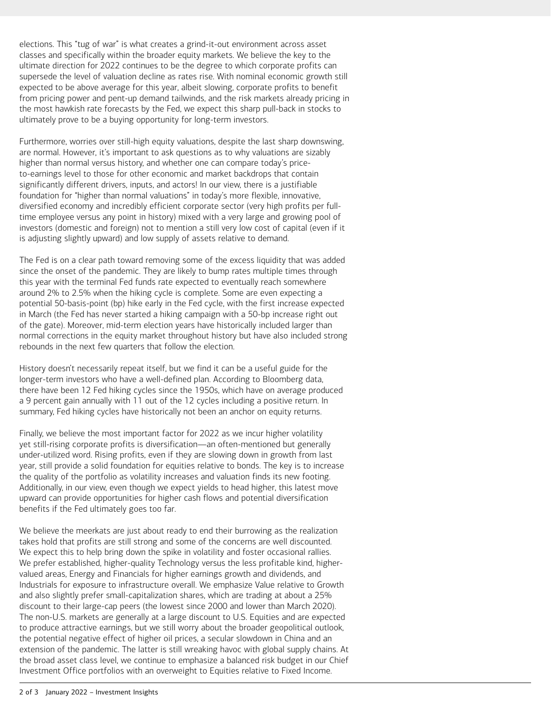elections. This "tug of war" is what creates a grind-it-out environment across asset classes and specifically within the broader equity markets. We believe the key to the ultimate direction for 2022 continues to be the degree to which corporate profits can supersede the level of valuation decline as rates rise. With nominal economic growth still expected to be above average for this year, albeit slowing, corporate profits to benefit from pricing power and pent-up demand tailwinds, and the risk markets already pricing in the most hawkish rate forecasts by the Fed, we expect this sharp pull-back in stocks to ultimately prove to be a buying opportunity for long-term investors.

Furthermore, worries over still-high equity valuations, despite the last sharp downswing, are normal. However, it's important to ask questions as to why valuations are sizably higher than normal versus history, and whether one can compare today's priceto-earnings level to those for other economic and market backdrops that contain significantly different drivers, inputs, and actors! In our view, there is a justifiable foundation for "higher than normal valuations" in today's more flexible, innovative, diversified economy and incredibly efficient corporate sector (very high profits per fulltime employee versus any point in history) mixed with a very large and growing pool of investors (domestic and foreign) not to mention a still very low cost of capital (even if it is adjusting slightly upward) and low supply of assets relative to demand.

The Fed is on a clear path toward removing some of the excess liquidity that was added since the onset of the pandemic. They are likely to bump rates multiple times through this year with the terminal Fed funds rate expected to eventually reach somewhere around 2% to 2.5% when the hiking cycle is complete. Some are even expecting a potential 50-basis-point (bp) hike early in the Fed cycle, with the first increase expected in March (the Fed has never started a hiking campaign with a 50-bp increase right out of the gate). Moreover, mid-term election years have historically included larger than normal corrections in the equity market throughout history but have also included strong rebounds in the next few quarters that follow the election.

History doesn't necessarily repeat itself, but we find it can be a useful guide for the longer-term investors who have a well-defined plan. According to Bloomberg data, there have been 12 Fed hiking cycles since the 1950s, which have on average produced a 9 percent gain annually with 11 out of the 12 cycles including a positive return. In summary, Fed hiking cycles have historically not been an anchor on equity returns.

Finally, we believe the most important factor for 2022 as we incur higher volatility yet still-rising corporate profits is diversification—an often-mentioned but generally under-utilized word. Rising profits, even if they are slowing down in growth from last year, still provide a solid foundation for equities relative to bonds. The key is to increase the quality of the portfolio as volatility increases and valuation finds its new footing. Additionally, in our view, even though we expect yields to head higher, this latest move upward can provide opportunities for higher cash flows and potential diversification benefits if the Fed ultimately goes too far.

We believe the meerkats are just about ready to end their burrowing as the realization takes hold that profits are still strong and some of the concerns are well discounted. We expect this to help bring down the spike in volatility and foster occasional rallies. We prefer established, higher-quality Technology versus the less profitable kind, highervalued areas, Energy and Financials for higher earnings growth and dividends, and Industrials for exposure to infrastructure overall. We emphasize Value relative to Growth and also slightly prefer small-capitalization shares, which are trading at about a 25% discount to their large-cap peers (the lowest since 2000 and lower than March 2020). The non-U.S. markets are generally at a large discount to U.S. Equities and are expected to produce attractive earnings, but we still worry about the broader geopolitical outlook, the potential negative effect of higher oil prices, a secular slowdown in China and an extension of the pandemic. The latter is still wreaking havoc with global supply chains. At the broad asset class level, we continue to emphasize a balanced risk budget in our Chief Investment Office portfolios with an overweight to Equities relative to Fixed Income.